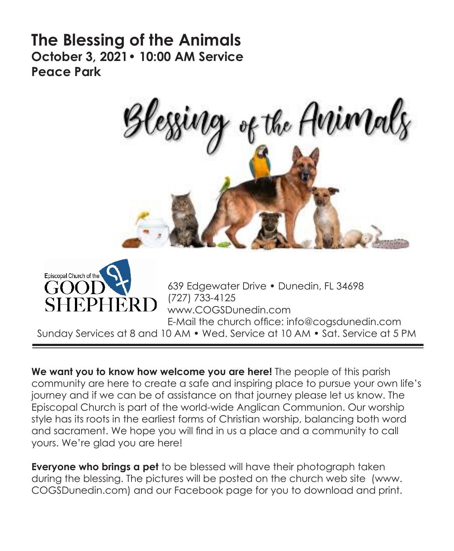# **The Blessing of the Animals October 3, 2021• 10:00 AM Service Peace Park**





639 Edgewater Drive • Dunedin, FL 34698 (727) 733-4125 www.COGSDunedin.com E-Mail the church office: info@cogsdunedin.com

Sunday Services at 8 and 10 AM • Wed. Service at 10 AM • Sat. Service at 5 PM

**We want you to know how welcome you are here!** The people of this parish community are here to create a safe and inspiring place to pursue your own life's journey and if we can be of assistance on that journey please let us know. The Episcopal Church is part of the world-wide Anglican Communion. Our worship style has its roots in the earliest forms of Christian worship, balancing both word and sacrament. We hope you will find in us a place and a community to call yours. We're glad you are here!

**Everyone who brings a pet** to be blessed will have their photograph taken during the blessing. The pictures will be posted on the church web site (www. COGSDunedin.com) and our Facebook page for you to download and print.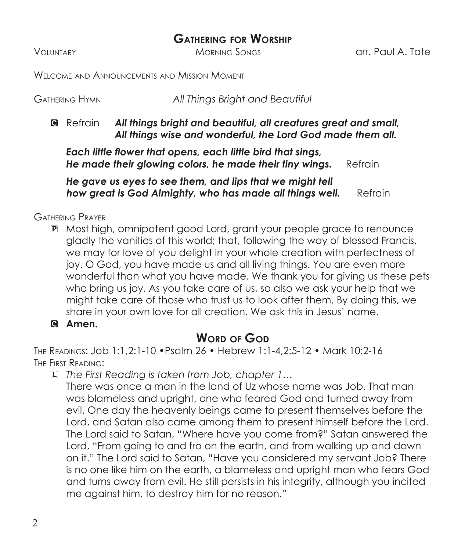## **Gathering for Worship**

Voluntary Morning Songs arr. Paul A. Tate

Welcome and Announcements and Mission Moment

| GATHERING HYMN | All Things Bright and Beautiful |
|----------------|---------------------------------|
|                |                                 |

C Refrain *All things bright and beautiful, all creatures great and small, All things wise and wonderful, the Lord God made them all.*

 *Each little flower that opens, each little bird that sings, He made their glowing colors, he made their tiny wings.* Refrain

*He gave us eyes to see them, and lips that we might tell* **how great is God Almighty, who has made all things well.** Refrain

Gathering Prayer

- P Most high, omnipotent good Lord, grant your people grace to renounce gladly the vanities of this world; that, following the way of blessed Francis, we may for love of you delight in your whole creation with perfectness of joy. O God, you have made us and all living things. You are even more wonderful than what you have made. We thank you for giving us these pets who bring us joy. As you take care of us, so also we ask your help that we might take care of those who trust us to look after them. By doing this, we share in your own love for all creation. We ask this in Jesus' name.
- C **Amen.**

## **WORD OF GOD**

The Readings: Job 1:1,2:1-10 •Psalm 26 • Hebrew 1:1-4,2:5-12 • Mark 10:2-16 The First Reading:

L *The First Reading is taken from Job, chapter 1…*

 There was once a man in the land of Uz whose name was Job. That man was blameless and upright, one who feared God and turned away from evil. One day the heavenly beings came to present themselves before the Lord, and Satan also came among them to present himself before the Lord. The Lord said to Satan, "Where have you come from?" Satan answered the Lord, "From going to and fro on the earth, and from walking up and down on it." The Lord said to Satan, "Have you considered my servant Job? There is no one like him on the earth, a blameless and upright man who fears God and turns away from evil. He still persists in his integrity, although you incited me against him, to destroy him for no reason."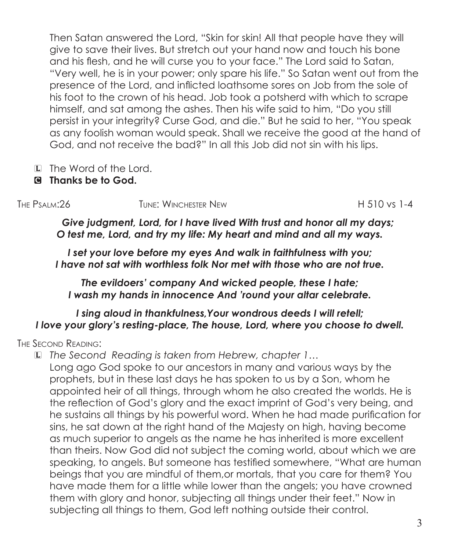Then Satan answered the Lord, "Skin for skin! All that people have they will give to save their lives. But stretch out your hand now and touch his bone and his flesh, and he will curse you to your face." The Lord said to Satan, "Very well, he is in your power; only spare his life." So Satan went out from the presence of the Lord, and inflicted loathsome sores on Job from the sole of his foot to the crown of his head. Job took a potsherd with which to scrape himself, and sat among the ashes. Then his wife said to him, "Do you still persist in your integrity? Curse God, and die." But he said to her, "You speak as any foolish woman would speak. Shall we receive the good at the hand of God, and not receive the bad?" In all this Job did not sin with his lips.

- L The Word of the Lord.
- C **Thanks be to God.**

The Psalm:26 Tune: Winchester NewH 510 vs 1-4

*Give judgment, Lord, for I have lived With trust and honor all my days; O test me, Lord, and try my life: My heart and mind and all my ways.*

*I set your love before my eyes And walk in faithfulness with you; I have not sat with worthless folk Nor met with those who are not true.*

*The evildoers' company And wicked people, these I hate; I wash my hands in innocence And 'round your altar celebrate.*

#### *I sing aloud in thankfulness,Your wondrous deeds I will retell; I love your glory's resting-place, The house, Lord, where you choose to dwell.*

The Second Reading:

L *The Second Reading is taken from Hebrew, chapter 1…*

 Long ago God spoke to our ancestors in many and various ways by the prophets, but in these last days he has spoken to us by a Son, whom he appointed heir of all things, through whom he also created the worlds. He is the reflection of God's glory and the exact imprint of God's very being, and he sustains all things by his powerful word. When he had made purification for sins, he sat down at the right hand of the Majesty on high, having become as much superior to angels as the name he has inherited is more excellent than theirs. Now God did not subject the coming world, about which we are speaking, to angels. But someone has testified somewhere, "What are human beings that you are mindful of them,or mortals, that you care for them? You have made them for a little while lower than the angels; you have crowned them with glory and honor, subjecting all things under their feet." Now in subjecting all things to them, God left nothing outside their control.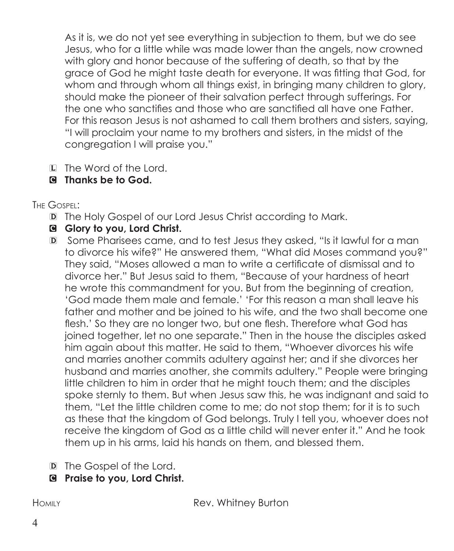As it is, we do not yet see everything in subjection to them, but we do see Jesus, who for a little while was made lower than the angels, now crowned with glory and honor because of the suffering of death, so that by the grace of God he might taste death for everyone. It was fitting that God, for whom and through whom all things exist, in bringing many children to glory, should make the pioneer of their salvation perfect through sufferings. For the one who sanctifies and those who are sanctified all have one Father. For this reason Jesus is not ashamed to call them brothers and sisters, saying, "I will proclaim your name to my brothers and sisters, in the midst of the congregation I will praise you."

- L The Word of the Lord.
- C **Thanks be to God.**

The Gospel:

D The Holy Gospel of our Lord Jesus Christ according to Mark.

## C **Glory to you, Lord Christ.**

- D Some Pharisees came, and to test Jesus they asked, "Is it lawful for a man to divorce his wife?" He answered them, "What did Moses command you?" They said, "Moses allowed a man to write a certificate of dismissal and to divorce her." But Jesus said to them, "Because of your hardness of heart he wrote this commandment for you. But from the beginning of creation, 'God made them male and female.' 'For this reason a man shall leave his father and mother and be joined to his wife, and the two shall become one flesh.' So they are no longer two, but one flesh. Therefore what God has joined together, let no one separate." Then in the house the disciples asked him again about this matter. He said to them, "Whoever divorces his wife and marries another commits adultery against her; and if she divorces her husband and marries another, she commits adultery." People were bringing little children to him in order that he might touch them; and the disciples spoke sternly to them. But when Jesus saw this, he was indignant and said to them, "Let the little children come to me; do not stop them; for it is to such as these that the kingdom of God belongs. Truly I tell you, whoever does not receive the kingdom of God as a little child will never enter it." And he took them up in his arms, laid his hands on them, and blessed them.
- D The Gospel of the Lord.
- C **Praise to you, Lord Christ.**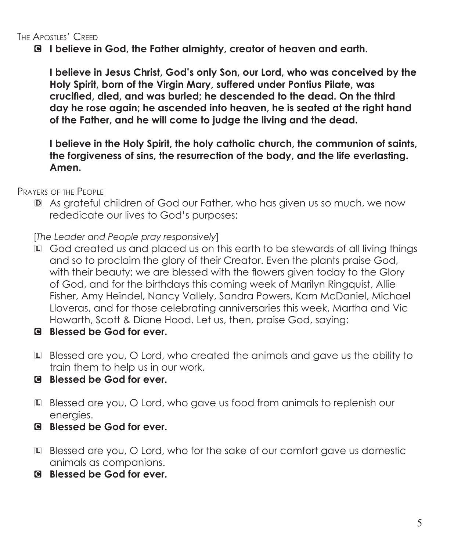C **I believe in God, the Father almighty, creator of heaven and earth.**

**I believe in Jesus Christ, God's only Son, our Lord, who was conceived by the Holy Spirit, born of the Virgin Mary, suffered under Pontius Pilate, was crucified, died, and was buried; he descended to the dead. On the third day he rose again; he ascended into heaven, he is seated at the right hand of the Father, and he will come to judge the living and the dead.**

**I believe in the Holy Spirit, the holy catholic church, the communion of saints, the forgiveness of sins, the resurrection of the body, and the life everlasting. Amen.**

Prayers of the People

D As grateful children of God our Father, who has given us so much, we now rededicate our lives to God's purposes:

[*The Leader and People pray responsively*]

- L God created us and placed us on this earth to be stewards of all living things and so to proclaim the glory of their Creator. Even the plants praise God, with their beauty; we are blessed with the flowers given today to the Glory of God, and for the birthdays this coming week of Marilyn Ringquist, Allie Fisher, Amy Heindel, Nancy Vallely, Sandra Powers, Kam McDaniel, Michael Lloveras, and for those celebrating anniversaries this week, Martha and Vic Howarth, Scott & Diane Hood. Let us, then, praise God, saying:
- C **Blessed be God for ever.**
- L Blessed are you, O Lord, who created the animals and gave us the ability to train them to help us in our work.
- C **Blessed be God for ever.**
- L Blessed are you, O Lord, who gave us food from animals to replenish our energies.
- C **Blessed be God for ever.**
- L Blessed are you, O Lord, who for the sake of our comfort gave us domestic animals as companions.
- C **Blessed be God for ever.**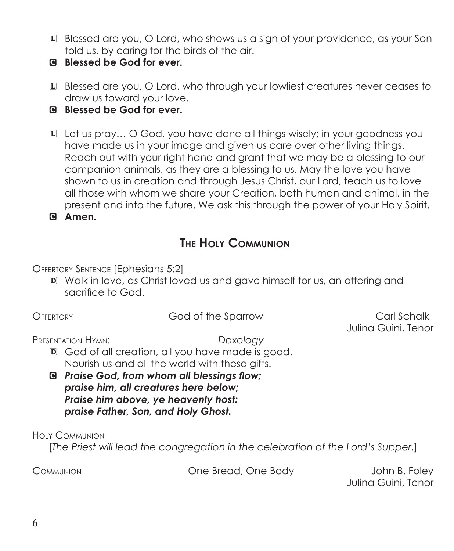- L Blessed are you, O Lord, who shows us a sign of your providence, as your Son told us, by caring for the birds of the air.
- C **Blessed be God for ever.**
- L Blessed are you, O Lord, who through your lowliest creatures never ceases to draw us toward your love.

C **Blessed be God for ever.**

L Let us pray… O God, you have done all things wisely; in your goodness you have made us in your image and given us care over other living things. Reach out with your right hand and grant that we may be a blessing to our companion animals, as they are a blessing to us. May the love you have shown to us in creation and through Jesus Christ, our Lord, teach us to love all those with whom we share your Creation, both human and animal, in the present and into the future. We ask this through the power of your Holy Spirit. C **Amen.**

## **The Holy Communion**

Offertory Sentence [Ephesians 5:2]

D Walk in love, as Christ loved us and gave himself for us, an offering and sacrifice to God.

#### Offertory God of the SparrowCarl Schalk

Julina Guini, Tenor

Presentation Hymn: *Doxology*

- D God of all creation, all you have made is good. Nourish us and all the world with these gifts.
- C *Praise God, from whom all blessings flow; praise him, all creatures here below; Praise him above, ye heavenly host: praise Father, Son, and Holy Ghost.*

Holy Communion

[*The Priest will lead the congregation in the celebration of the Lord's Supper*.]

Communion One Bread, One Body John B. Foley

Julina Guini, Tenor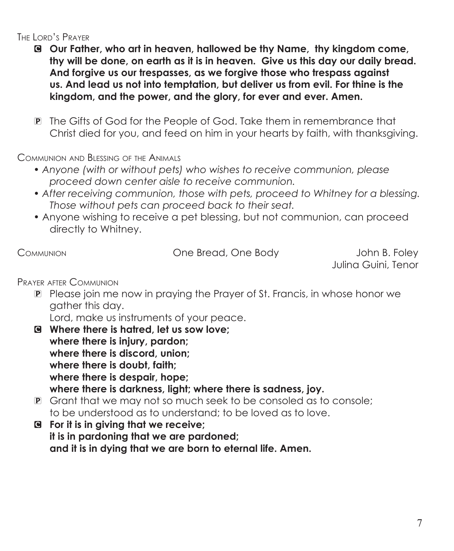#### The Lord's Prayer

- C **Our Father, who art in heaven, hallowed be thy Name, thy kingdom come, thy will be done, on earth as it is in heaven. Give us this day our daily bread. And forgive us our trespasses, as we forgive those who trespass against us. And lead us not into temptation, but deliver us from evil. For thine is the kingdom, and the power, and the glory, for ever and ever. Amen.**
- P The Gifts of God for the People of God. Take them in remembrance that Christ died for you, and feed on him in your hearts by faith, with thanksgiving.

Communion and Blessing of the Animals

- *Anyone (with or without pets) who wishes to receive communion, please proceed down center aisle to receive communion.*
- *After receiving communion, those with pets, proceed to Whitney for a blessing. Those without pets can proceed back to their seat.*
- Anyone wishing to receive a pet blessing, but not communion, can proceed directly to Whitney.

COMMUNION COMMUNION CONE COMMUNION

Julina Guini, Tenor

Prayer after Communion

P Please join me now in praying the Prayer of St. Francis, in whose honor we gather this day.

Lord, make us instruments of your peace.

- C **Where there is hatred, let us sow love; where there is injury, pardon; where there is discord, union; where there is doubt, faith; where there is despair, hope; where there is darkness, light; where there is sadness, joy.**
- P Grant that we may not so much seek to be consoled as to console; to be understood as to understand; to be loved as to love.
- C **For it is in giving that we receive; it is in pardoning that we are pardoned; and it is in dying that we are born to eternal life. Amen.**